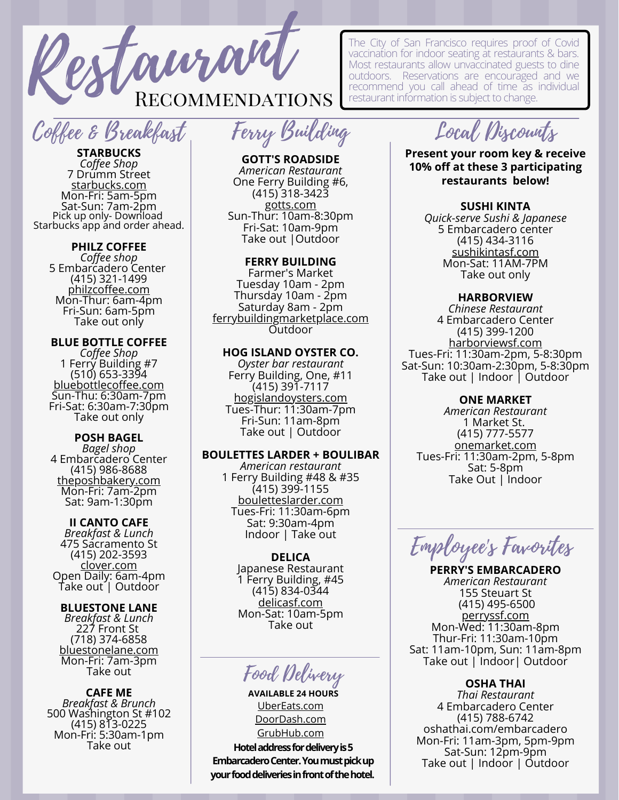Restaurant Recommendations

# Coffee & Breakfast

**STARBUCKS** *Coffee Shop* 7 Drumm Street [starbucks.com](https://www.starbucks.com/) Mon-Fri: 5am-5pm Sat-Sun: 7am-2pm Pick up only- Download Starbucks app and order ahead.

# **PHILZ COFFEE**

*Coffee shop* 5 Embarcadero Center (415) 321-1499 [philzcoffee.com](https://www.philzcoffee.com/) Mon-Thur: 6am-4pm Fri-Sun: 6am-5pm Take out only

#### **BLUE BOTTLE COFFEE**

*Coffee Shop* 1 Ferry Building #7 (510) [653-3394](tel:5106533394) [bluebottlecoffee.com](https://bluebottlecoffee.com/cafes/ferry-building) Sun-Thu: 6:30am-7pm Fri-Sat: 6:30am-7:30pm Take out only

## **POSH BAGEL**

*Bagel shop* 4 Embarcadero Center (415) [986-8688](https://www.google.com/search?q=posh+bagel+embarcadero&rlz=1C1GCEV_enUS828US828&oq=posh+bagel+embarcade&aqs=chrome.0.69i59j46i175i199i512j69i57j0i22i30.7399j0j7&sourceid=chrome&ie=UTF-8#) [theposhbakery.com](http://www.theposhbakery.com/scripts/openExtra.asp?extra=30) Mon-Fri: 7am-2pm Sat: 9am-1:30pm

## **II CANTO CAFE**

*Breakfast & Lunch* 475 Sacramento St (415) [202-3593](https://www.google.com/search?safe=active&tbs=lf:1,lf_ui:9&tbm=lcl&q=breakfast+in+financial+district&rflfq=1&num=10&ved=2ahUKEwjOjrjqmbjvAhWDFIgKHR1qCuoQtgN6BAgHEAc#) <u>[clover.com](https://www.clover.com/online-ordering/il-canto-cafe-san-francisco)</u> Open Daily: 6am-4pm Take out | Outdoor

#### **BLUESTONE LANE**

*Breakfast & Lunch* 227 Front St (718) 374-6858 [bluestonelane.com](https://bluestonelane.com/cafes/financial-district-227-front-st/?y_source=1_ODc5MjkwNS03MTUtbG9jYXRpb24ud2Vic2l0ZQ%3D%3D) Mon-Fri: 7am-3pm Take out

**CAFE ME** *Breakfast & Brunch* 500 Washington St #102 (415) [813-0225](https://www.google.com/search?q=cafe+me+san+francisco&rlz=1C1GCEV_enUS922US922&oq=cafe+me+san+francisco&aqs=chrome.0.0l3j69i60.2925j0j4&sourceid=chrome&ie=UTF-8#) Mon-Fri: 5:30am-1pm Take out

Ferry Building

# **GOTT'S ROADSIDE** *American Restaurant*

One Ferry Building #6, (415) 318-3423 [gotts.com](https://www.gotts.com/) Sun-Thur: 10am-8:30pm Fri-Sat: 10am-9pm Take out |Outdoor

#### **FERRY BUILDING**

Farmer's Market Tuesday 10am - 2pm Thursday 10am - 2pm Saturday 8am - 2pm [ferrybuildingmarketplace.com](https://www.ferrybuildingmarketplace.com/) Outdoor

# **HOG ISLAND OYSTER CO.**

*Oyster bar restaurant* Ferry Building, One, #11  $(415)$  391-7117 [hogislandoysters.com](https://hogislandoysters.com/) Tues-Thur: 11:30am-7pm Fri-Sun: 11am-8pm Take out | Outdoor

## **BOULETTES LARDER + BOULIBAR**

*American restaurant* 1 Ferry Building #48 & #35 (415) [399-1155](https://www.google.com/search?q=ferry+building+restaurants&safe=active&rlz=1C1GCEV_enUS828US828&tbm=lcl&ei=M7yFYe3JJteC-QbjiIWoBg&oq=ferry+building+restaurants&gs_l=psy-ab.3...182890.193945.0.194085.59.39.2.6.6.0.530.5660.0j1j11j3j3j1.19.0....0...1c.1.64.psy-ab..37.22.4092...0i512i433k1j0i512i433i131k1j0i512k1j0i67k1j0i433i67k1j0i10k1j0i433i457i10k1j0i402k1j0i273k1j0i512i433i457k1j0i512i457k1j0i457i10k1j0i22i30k1j33i160k1j0i13k1j0i457i13k1j0i13i5i30k1j0i13i5i10i30k1.0.dnpXV3TvIsg#) [bouletteslarder.com](https://bouletteslarder.com/) Tues-Fri: 11:30am-6pm Sat: 9:30am-4pm Indoor | Take out

#### **DELICA**

Japanese Restaurant 1 Ferry Building, #45 (415) [834-0344](https://www.google.com/search?q=ferry+building+restaurants&safe=active&rlz=1C1GCEV_enUS828US828&tbm=lcl&ei=M7yFYe3JJteC-QbjiIWoBg&oq=ferry+building+restaurants&gs_l=psy-ab.3...182890.193945.0.194085.59.39.2.6.6.0.530.5660.0j1j11j3j3j1.19.0....0...1c.1.64.psy-ab..37.22.4092...0i512i433k1j0i512i433i131k1j0i512k1j0i67k1j0i433i67k1j0i10k1j0i433i457i10k1j0i402k1j0i273k1j0i512i433i457k1j0i512i457k1j0i457i10k1j0i22i30k1j33i160k1j0i13k1j0i457i13k1j0i13i5i30k1j0i13i5i10i30k1.0.dnpXV3TvIsg#) [delicasf.com](http://www.delicasf.com/) Mon-Sat: 10am-5pm Take out

Food Delivery

**Hotel address for delivery is 5 Embarcadero Center. You must pick up your food deliveries in front of the hotel.** [UberEats.com](https://www.ubereats.com/?utm_source=AdWords_Brand&utm_campaign=CM2029611-search-google-brand_1_1_US-San+Francisco_e_web_acq_cpc_en_Generics_Exact_ubereats_kwd-111332437702_458350610783_106780962408_e_c&campaign_id=9983520631&adg_id=106780962408&fi_id=&match=e&net=g&dev=c&dev_m=&ad_id=458350610783&cre=458350610783&kwid=kwd-111332437702&kw=ubereats&placement=&tar=&gclid=EAIaIQobChMIqselydy17wIVDsWWCh0dag5rEAAYASAAEgKNyfD_BwE&gclsrc=aw.ds) [DoorDash.com](https://www.doordash.com/) [GrubHub.com](https://www.grubhub.com/) **AVAILABLE 24 HOURS**

The City of San Francisco requires proof of Covid vaccination for indoor seating at restaurants & bars. Most restaurants allow unvaccinated guests to dine outdoors. Reservations are encouraged and we recommend you call ahead of time as individual restaurant information is subject to change.

Local Discounts

**Present your room key & receive 10% off at these 3 participating restaurants below!**

# **SUSHI KINTA**

*Quick-serve Sushi & Japanese* 5 Embarcadero center (415) 434-3116 [sushikintasf.com](https://www.sushikintasf.com/?utm_source=gmb&utm_medium=website) Mon-Sat: 11AM-7PM Take out only

# **HARBORVIEW**

*Chinese Restaurant* 4 Embarcadero Center (415) 399-1200 [harborviewsf.com](https://www.harborviewsf.com/) Tues-Fri: 11:30am-2pm, 5-8:30pm Sat-Sun: 10:30am-2:30pm, 5-8:30pm Take out | Indoor | Outdoor

### **ONE MARKET**

*American Restaurant* 1 Market St. (415) 777-5577 [onemarket.com](https://onemarket.com/) Tues-Fri: 11:30am-2pm, 5-8pm Sat: 5-8pm Take Out | Indoor

Employee's Favorites

**PERRY'S EMBARCADERO** *American Restaurant* 155 Steuart St (415) [495-6500](https://www.google.com/search?q=perrys&safe=active&rlz=1C1GCEV_enUS828US828&tbm=lcl&ei=BHpSYI3PC9KDoASJr63oDA&oq=perrys&gs_l=psy-ab.3...99369.99957.0.100064.6.5.0.0.0.0.0.0..0.0....0...1c.1.64.psy-ab..6.0.0....0.rwK7cS5ZJxM#) [perryssf.com](https://www.perryssf.com/) Mon-Wed: 11:30am-8pm Thur-Fri: 11:30am-10pm Sat: 11am-10pm, Sun: 11am-8pm Take out | Indoor| Outdoor

# **OSHA THAI**

*Thai Restaurant* 4 Embarcadero Center (415) 788-6742 [oshathai.com/embarcadero](http://oshathai.com/embarcadero) Mon-Fri: 11am-3pm, 5pm-9pm Sat-Sun: 12pm-9pm Take out | Indoor | Outdoor